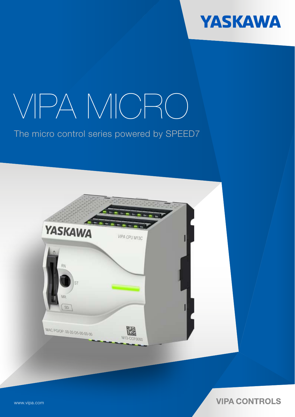

# VIPA MICRO

The micro control series powered by SPEED7



**VIPA CONTROLS** 

www.vipa.com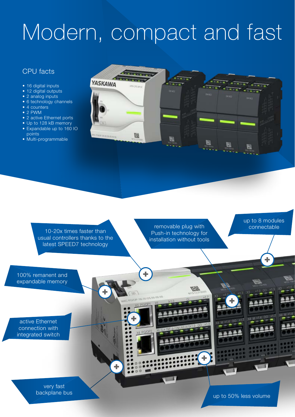## Modern, compact and fast

#### CPU facts

- 16 digital inputs
- 12 digital outputs
- 2 analog inputs
- 6 technology channels
- 4 counters
- 2 PWM
- 2 active Ethernet ports • Up to 128 kB memory
- Expandable up to 160 IO points
- Multi-programmable





up to 50% less volume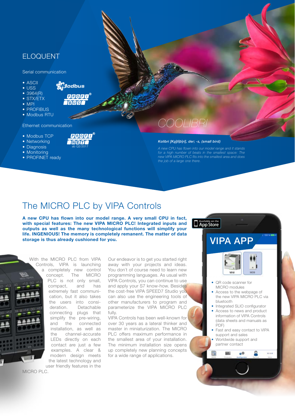#### ELOQUENT

Serial communication

- ASCII
- USS
- 3964(R)
- STX/ETX
	-
- MPI
- PROFIBUS
- Modbus RTU

#### Ethernet communication

- Modbus TCP
- Networking
- Diagnosis
- Monitoring
- PROFINET ready

## *COOLIBRI*

#### *Kolibri [Ko|li|b|ri], der; -s, (small bird)*

*A new CPU has flown into our model range and it stands for a high number of beats in the smallest space: The new VIPA MICRO PLC fits into the smallest area and does the job of a large one there.* 

## The MICRO PLC by VIPA Controls

ab Q2/2017

**PROBO** 「内官市」

**M**odbus

**QQQQQ** हाणिडी

**A new CPU has flown into our model range. A very small CPU in fact, with special features: The new VIPA MICRO PLC! Integrated inputs and outputs as well as the many technological functions will simplify your life. INGENIOUS! The memory is completely remanent. The matter of data storage is thus already cushioned for you.**



With the MICRO PLC from VIPA Controls, VIPA is launching a completely new control concept. The MICRO PLC is not only small, compact, and has extremely fast communication, but it also takes the users into consideration. Detachable connecting plugs that simplify the pre-wiring, and the connected installation, as well as the channel-accurate LEDs directly on each contact are just a few examples. A clear & modern design meets the latest technology and user friendly features in the

MICRO PLC.

Our endeavor is to get you started right away with your projects and ideas. You don`t of course need to learn new programming languages. As usual with VIPA Controls, you can continue to use and apply your S7 know-how. Besides the cost-free VIPA SPEED7 Studio you can also use the engineering tools of other manufacturers to program and parameterize the VIPA MICRO PLC fully.

VIPA Controls has been well-known for over 30 years as a lateral thinker and master in miniaturization. The MICRO PLC offers maximum performance in the smallest area of your installation. The minimum installation size opens up completely new planning concepts for a wide range of applications.